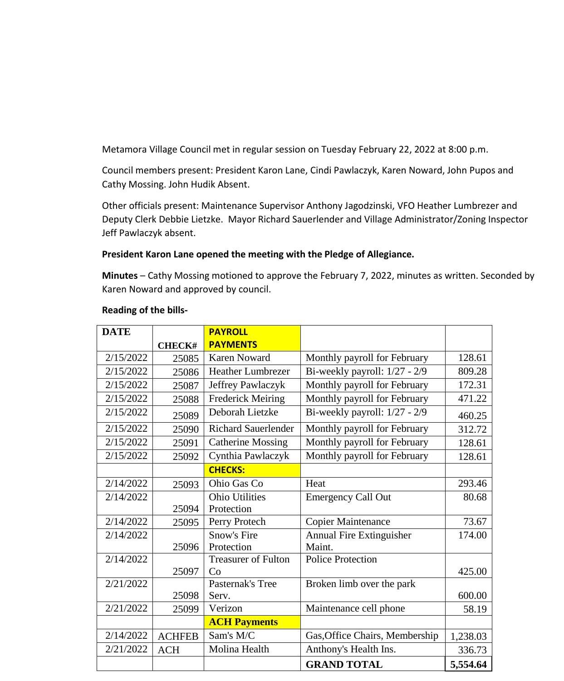Metamora Village Council met in regular session on Tuesday February 22, 2022 at 8:00 p.m.

Council members present: President Karon Lane, Cindi Pawlaczyk, Karen Noward, John Pupos and Cathy Mossing. John Hudik Absent.

Other officials present: Maintenance Supervisor Anthony Jagodzinski, VFO Heather Lumbrezer and Deputy Clerk Debbie Lietzke. Mayor Richard Sauerlender and Village Administrator/Zoning Inspector Jeff Pawlaczyk absent.

## **President Karon Lane opened the meeting with the Pledge of Allegiance.**

**Minutes** – Cathy Mossing motioned to approve the February 7, 2022, minutes as written. Seconded by Karen Noward and approved by council.

| <b>DATE</b> |               | <b>PAYROLL</b>             |                                |          |
|-------------|---------------|----------------------------|--------------------------------|----------|
|             | <b>CHECK#</b> | <b>PAYMENTS</b>            |                                |          |
| 2/15/2022   | 25085         | <b>Karen Noward</b>        | Monthly payroll for February   | 128.61   |
| 2/15/2022   | 25086         | <b>Heather Lumbrezer</b>   | Bi-weekly payroll: 1/27 - 2/9  | 809.28   |
| 2/15/2022   | 25087         | Jeffrey Pawlaczyk          | Monthly payroll for February   | 172.31   |
| 2/15/2022   | 25088         | <b>Frederick Meiring</b>   | Monthly payroll for February   | 471.22   |
| 2/15/2022   | 25089         | Deborah Lietzke            | Bi-weekly payroll: 1/27 - 2/9  | 460.25   |
| 2/15/2022   | 25090         | <b>Richard Sauerlender</b> | Monthly payroll for February   | 312.72   |
| 2/15/2022   | 25091         | <b>Catherine Mossing</b>   | Monthly payroll for February   | 128.61   |
| 2/15/2022   | 25092         | Cynthia Pawlaczyk          | Monthly payroll for February   | 128.61   |
|             |               | <b>CHECKS:</b>             |                                |          |
| 2/14/2022   | 25093         | Ohio Gas Co                | Heat                           | 293.46   |
| 2/14/2022   |               | <b>Ohio Utilities</b>      | <b>Emergency Call Out</b>      | 80.68    |
|             | 25094         | Protection                 |                                |          |
| 2/14/2022   | 25095         | Perry Protech              | <b>Copier Maintenance</b>      | 73.67    |
| 2/14/2022   |               | <b>Snow's Fire</b>         | Annual Fire Extinguisher       | 174.00   |
|             | 25096         | Protection                 | Maint.                         |          |
| 2/14/2022   |               | <b>Treasurer of Fulton</b> | Police Protection              |          |
|             | 25097         | Co                         |                                | 425.00   |
| 2/21/2022   |               | Pasternak's Tree           | Broken limb over the park      |          |
|             | 25098         | Serv.                      |                                | 600.00   |
| 2/21/2022   | 25099         | Verizon                    | Maintenance cell phone         | 58.19    |
|             |               | <b>ACH Payments</b>        |                                |          |
| 2/14/2022   | <b>ACHFEB</b> | Sam's M/C                  | Gas, Office Chairs, Membership | 1,238.03 |
| 2/21/2022   | <b>ACH</b>    | Molina Health              | Anthony's Health Ins.          | 336.73   |
|             |               |                            | <b>GRAND TOTAL</b>             | 5,554.64 |

## **Reading of the bills-**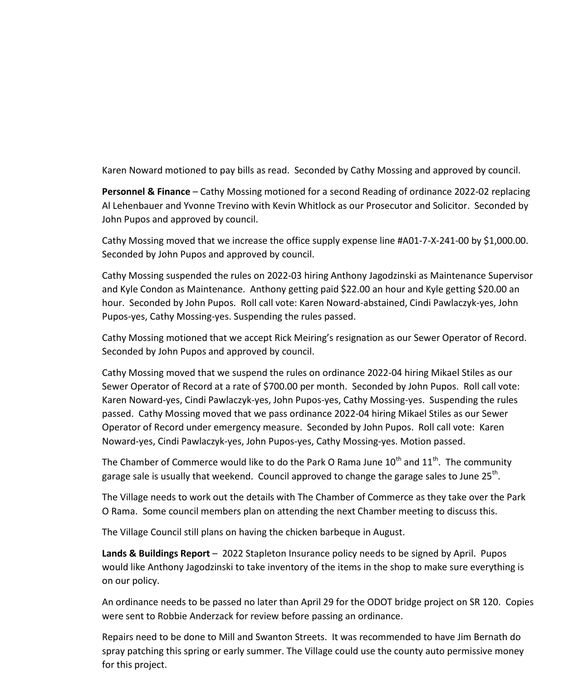Karen Noward motioned to pay bills as read. Seconded by Cathy Mossing and approved by council.

**Personnel & Finance** – Cathy Mossing motioned for a second Reading of ordinance 2022-02 replacing Al Lehenbauer and Yvonne Trevino with Kevin Whitlock as our Prosecutor and Solicitor. Seconded by John Pupos and approved by council.

Cathy Mossing moved that we increase the office supply expense line #A01-7-X-241-00 by \$1,000.00. Seconded by John Pupos and approved by council.

Cathy Mossing suspended the rules on 2022-03 hiring Anthony Jagodzinski as Maintenance Supervisor and Kyle Condon as Maintenance. Anthony getting paid \$22.00 an hour and Kyle getting \$20.00 an hour. Seconded by John Pupos. Roll call vote: Karen Noward-abstained, Cindi Pawlaczyk-yes, John Pupos-yes, Cathy Mossing-yes. Suspending the rules passed.

Cathy Mossing motioned that we accept Rick Meiring's resignation as our Sewer Operator of Record. Seconded by John Pupos and approved by council.

Cathy Mossing moved that we suspend the rules on ordinance 2022-04 hiring Mikael Stiles as our Sewer Operator of Record at a rate of \$700.00 per month. Seconded by John Pupos. Roll call vote: Karen Noward-yes, Cindi Pawlaczyk-yes, John Pupos-yes, Cathy Mossing-yes. Suspending the rules passed. Cathy Mossing moved that we pass ordinance 2022-04 hiring Mikael Stiles as our Sewer Operator of Record under emergency measure. Seconded by John Pupos. Roll call vote: Karen Noward-yes, Cindi Pawlaczyk-yes, John Pupos-yes, Cathy Mossing-yes. Motion passed.

The Chamber of Commerce would like to do the Park O Rama June  $10^{th}$  and  $11^{th}$ . The community garage sale is usually that weekend. Council approved to change the garage sales to June 25<sup>th</sup>.

The Village needs to work out the details with The Chamber of Commerce as they take over the Park O Rama. Some council members plan on attending the next Chamber meeting to discuss this.

The Village Council still plans on having the chicken barbeque in August.

**Lands & Buildings Report** – 2022 Stapleton Insurance policy needs to be signed by April. Pupos would like Anthony Jagodzinski to take inventory of the items in the shop to make sure everything is on our policy.

An ordinance needs to be passed no later than April 29 for the ODOT bridge project on SR 120. Copies were sent to Robbie Anderzack for review before passing an ordinance.

Repairs need to be done to Mill and Swanton Streets. It was recommended to have Jim Bernath do spray patching this spring or early summer. The Village could use the county auto permissive money for this project.